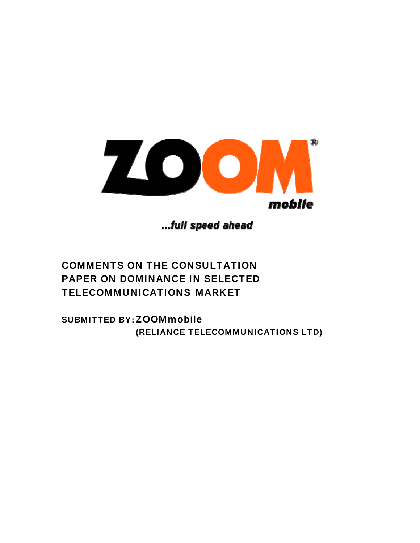

...full speed ahead

# COMMENTS ON THE CONSULTATION PAPER ON DOMINANCE IN SELECTED TELECOMMUNICATIONS MARKET

SUBMITTED BY: ZOOMmobile (RELIANCE TELECOMMUNICATIONS LTD)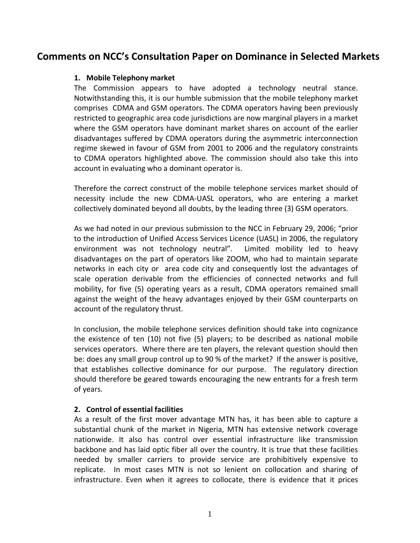# **Comments on NCC's Consultation Paper on Dominance in Selected Markets**

#### **1. Mobile Telephony market**

The Commission appears to have adopted a technology neutral stance. Notwithstanding this, it is our humble submission that the mobile telephony market comprises CDMA and GSM operators. The CDMA operators having been previously restricted to geographic area code jurisdictions are now marginal players in a market where the GSM operators have dominant market shares on account of the earlier disadvantages suffered by CDMA operators during the asymmetric interconnection regime skewed in favour of GSM from 2001 to 2006 and the regulatory constraints to CDMA operators highlighted above. The commission should also take this into account in evaluating who a dominant operator is.

Therefore the correct construct of the mobile telephone services market should of necessity include the new CDMA‐UASL operators, who are entering a market collectively dominated beyond all doubts, by the leading three (3) GSM operators.

As we had noted in our previous submission to the NCC in February 29, 2006; "prior to the introduction of Unified Access Services Licence (UASL) in 2006, the regulatory environment was not technology neutral". Limited mobility led to heavy disadvantages on the part of operators like ZOOM, who had to maintain separate networks in each city or area code city and consequently lost the advantages of scale operation derivable from the efficiencies of connected networks and full mobility, for five (5) operating years as a result, CDMA operators remained small against the weight of the heavy advantages enjoyed by their GSM counterparts on account of the regulatory thrust.

In conclusion, the mobile telephone services definition should take into cognizance the existence of ten (10) not five (5) players; to be described as national mobile services operators. Where there are ten players, the relevant question should then be: does any small group control up to 90 % of the market? If the answer is positive, that establishes collective dominance for our purpose. The regulatory direction should therefore be geared towards encouraging the new entrants for a fresh term of years.

#### **2. Control of essential facilities**

As a result of the first mover advantage MTN has, it has been able to capture a substantial chunk of the market in Nigeria, MTN has extensive network coverage nationwide. It also has control over essential infrastructure like transmission backbone and has laid optic fiber all over the country. It is true that these facilities needed by smaller carriers to provide service are prohibitively expensive to replicate. In most cases MTN is not so lenient on collocation and sharing of infrastructure. Even when it agrees to collocate, there is evidence that it prices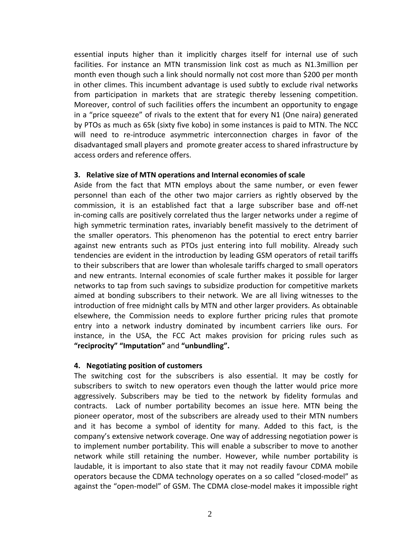essential inputs higher than it implicitly charges itself for internal use of such facilities. For instance an MTN transmission link cost as much as N1.3million per month even though such a link should normally not cost more than \$200 per month in other climes. This incumbent advantage is used subtly to exclude rival networks from participation in markets that are strategic thereby lessening competition. Moreover, control of such facilities offers the incumbent an opportunity to engage in a "price squeeze" of rivals to the extent that for every N1 (One naira) generated by PTOs as much as 65k (sixty five kobo) in some instances is paid to MTN. The NCC will need to re-introduce asymmetric interconnection charges in favor of the disadvantaged small players and promote greater access to shared infrastructure by access orders and reference offers.

#### **3. Relative size of MTN operations and Internal economies of scale**

Aside from the fact that MTN employs about the same number, or even fewer personnel than each of the other two major carriers as rightly observed by the commission, it is an established fact that a large subscriber base and off‐net in-coming calls are positively correlated thus the larger networks under a regime of high symmetric termination rates, invariably benefit massively to the detriment of the smaller operators. This phenomenon has the potential to erect entry barrier against new entrants such as PTOs just entering into full mobility. Already such tendencies are evident in the introduction by leading GSM operators of retail tariffs to their subscribers that are lower than wholesale tariffs charged to small operators and new entrants. Internal economies of scale further makes it possible for larger networks to tap from such savings to subsidize production for competitive markets aimed at bonding subscribers to their network. We are all living witnesses to the introduction of free midnight calls by MTN and other larger providers. As obtainable elsewhere, the Commission needs to explore further pricing rules that promote entry into a network industry dominated by incumbent carriers like ours. For instance, in the USA, the FCC Act makes provision for pricing rules such as **"reciprocity" "Imputation"** and **"unbundling".**

#### **4. Negotiating position of customers**

The switching cost for the subscribers is also essential. It may be costly for subscribers to switch to new operators even though the latter would price more aggressively. Subscribers may be tied to the network by fidelity formulas and contracts. Lack of number portability becomes an issue here. MTN being the pioneer operator, most of the subscribers are already used to their MTN numbers and it has become a symbol of identity for many. Added to this fact, is the company's extensive network coverage. One way of addressing negotiation power is to implement number portability. This will enable a subscriber to move to another network while still retaining the number. However, while number portability is laudable, it is important to also state that it may not readily favour CDMA mobile operators because the CDMA technology operates on a so called "closed‐model" as against the "open‐model" of GSM. The CDMA close‐model makes it impossible right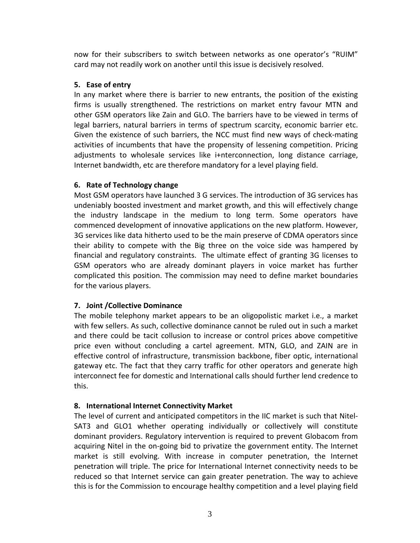now for their subscribers to switch between networks as one operator's "RUIM" card may not readily work on another until this issue is decisively resolved.

### **5. Ease of entry**

In any market where there is barrier to new entrants, the position of the existing firms is usually strengthened. The restrictions on market entry favour MTN and other GSM operators like Zain and GLO. The barriers have to be viewed in terms of legal barriers, natural barriers in terms of spectrum scarcity, economic barrier etc. Given the existence of such barriers, the NCC must find new ways of check-mating activities of incumbents that have the propensity of lessening competition. Pricing adjustments to wholesale services like i+nterconnection, long distance carriage, Internet bandwidth, etc are therefore mandatory for a level playing field.

# **6. Rate of Technology change**

Most GSM operators have launched 3 G services. The introduction of 3G services has undeniably boosted investment and market growth, and this will effectively change the industry landscape in the medium to long term. Some operators have commenced development of innovative applications on the new platform. However, 3G services like data hitherto used to be the main preserve of CDMA operators since their ability to compete with the Big three on the voice side was hampered by financial and regulatory constraints. The ultimate effect of granting 3G licenses to GSM operators who are already dominant players in voice market has further complicated this position. The commission may need to define market boundaries for the various players.

# **7. Joint /Collective Dominance**

The mobile telephony market appears to be an oligopolistic market i.e., a market with few sellers. As such, collective dominance cannot be ruled out in such a market and there could be tacit collusion to increase or control prices above competitive price even without concluding a cartel agreement. MTN, GLO, and ZAIN are in effective control of infrastructure, transmission backbone, fiber optic, international gateway etc. The fact that they carry traffic for other operators and generate high interconnect fee for domestic and International calls should further lend credence to this.

# **8. International Internet Connectivity Market**

The level of current and anticipated competitors in the IIC market is such that Nitel‐ SAT3 and GLO1 whether operating individually or collectively will constitute dominant providers. Regulatory intervention is required to prevent Globacom from acquiring Nitel in the on‐going bid to privatize the government entity. The Internet market is still evolving. With increase in computer penetration, the Internet penetration will triple. The price for International Internet connectivity needs to be reduced so that Internet service can gain greater penetration. The way to achieve this is for the Commission to encourage healthy competition and a level playing field